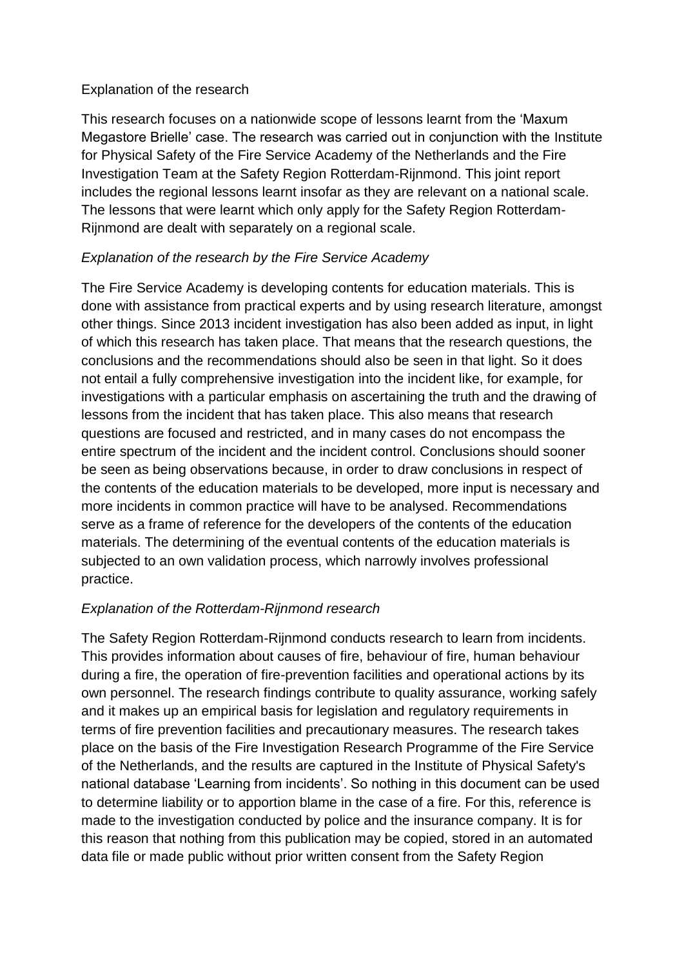#### Explanation of the research

This research focuses on a nationwide scope of lessons learnt from the 'Maxum Megastore Brielle' case. The research was carried out in conjunction with the Institute for Physical Safety of the Fire Service Academy of the Netherlands and the Fire Investigation Team at the Safety Region Rotterdam-Rijnmond. This joint report includes the regional lessons learnt insofar as they are relevant on a national scale. The lessons that were learnt which only apply for the Safety Region Rotterdam-Rijnmond are dealt with separately on a regional scale.

#### *Explanation of the research by the Fire Service Academy*

The Fire Service Academy is developing contents for education materials. This is done with assistance from practical experts and by using research literature, amongst other things. Since 2013 incident investigation has also been added as input, in light of which this research has taken place. That means that the research questions, the conclusions and the recommendations should also be seen in that light. So it does not entail a fully comprehensive investigation into the incident like, for example, for investigations with a particular emphasis on ascertaining the truth and the drawing of lessons from the incident that has taken place. This also means that research questions are focused and restricted, and in many cases do not encompass the entire spectrum of the incident and the incident control. Conclusions should sooner be seen as being observations because, in order to draw conclusions in respect of the contents of the education materials to be developed, more input is necessary and more incidents in common practice will have to be analysed. Recommendations serve as a frame of reference for the developers of the contents of the education materials. The determining of the eventual contents of the education materials is subjected to an own validation process, which narrowly involves professional practice.

#### *Explanation of the Rotterdam-Rijnmond research*

The Safety Region Rotterdam-Rijnmond conducts research to learn from incidents. This provides information about causes of fire, behaviour of fire, human behaviour during a fire, the operation of fire-prevention facilities and operational actions by its own personnel. The research findings contribute to quality assurance, working safely and it makes up an empirical basis for legislation and regulatory requirements in terms of fire prevention facilities and precautionary measures. The research takes place on the basis of the Fire Investigation Research Programme of the Fire Service of the Netherlands, and the results are captured in the Institute of Physical Safety's national database 'Learning from incidents'. So nothing in this document can be used to determine liability or to apportion blame in the case of a fire. For this, reference is made to the investigation conducted by police and the insurance company. It is for this reason that nothing from this publication may be copied, stored in an automated data file or made public without prior written consent from the Safety Region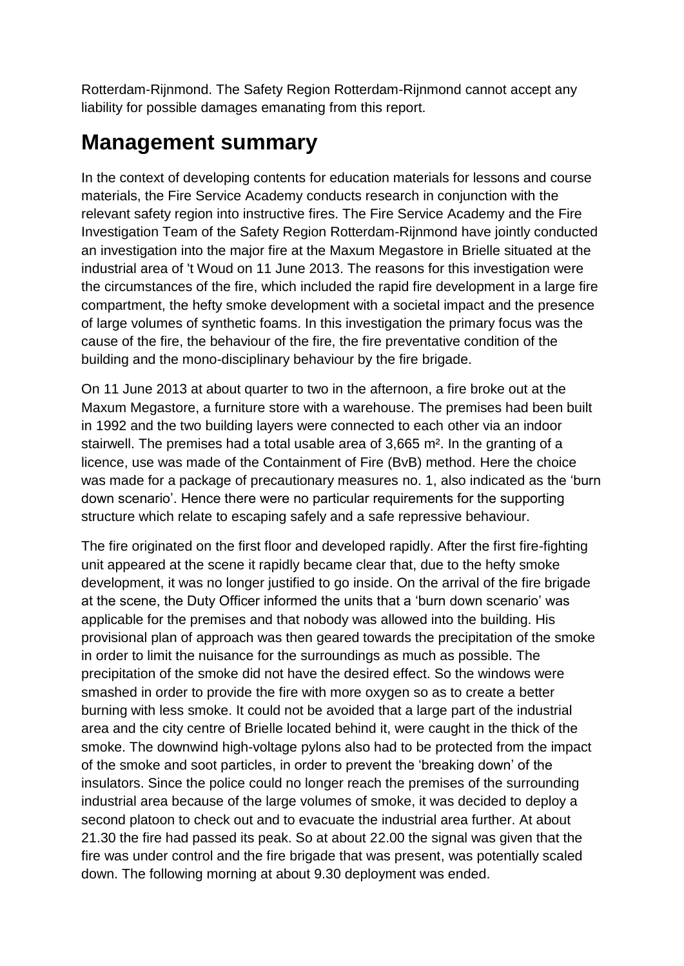Rotterdam-Rijnmond. The Safety Region Rotterdam-Rijnmond cannot accept any liability for possible damages emanating from this report.

# **Management summary**

In the context of developing contents for education materials for lessons and course materials, the Fire Service Academy conducts research in conjunction with the relevant safety region into instructive fires. The Fire Service Academy and the Fire Investigation Team of the Safety Region Rotterdam-Rijnmond have jointly conducted an investigation into the major fire at the Maxum Megastore in Brielle situated at the industrial area of 't Woud on 11 June 2013. The reasons for this investigation were the circumstances of the fire, which included the rapid fire development in a large fire compartment, the hefty smoke development with a societal impact and the presence of large volumes of synthetic foams. In this investigation the primary focus was the cause of the fire, the behaviour of the fire, the fire preventative condition of the building and the mono-disciplinary behaviour by the fire brigade.

On 11 June 2013 at about quarter to two in the afternoon, a fire broke out at the Maxum Megastore, a furniture store with a warehouse. The premises had been built in 1992 and the two building layers were connected to each other via an indoor stairwell. The premises had a total usable area of 3,665 m². In the granting of a licence, use was made of the Containment of Fire (BvB) method. Here the choice was made for a package of precautionary measures no. 1, also indicated as the 'burn down scenario'. Hence there were no particular requirements for the supporting structure which relate to escaping safely and a safe repressive behaviour.

The fire originated on the first floor and developed rapidly. After the first fire-fighting unit appeared at the scene it rapidly became clear that, due to the hefty smoke development, it was no longer justified to go inside. On the arrival of the fire brigade at the scene, the Duty Officer informed the units that a 'burn down scenario' was applicable for the premises and that nobody was allowed into the building. His provisional plan of approach was then geared towards the precipitation of the smoke in order to limit the nuisance for the surroundings as much as possible. The precipitation of the smoke did not have the desired effect. So the windows were smashed in order to provide the fire with more oxygen so as to create a better burning with less smoke. It could not be avoided that a large part of the industrial area and the city centre of Brielle located behind it, were caught in the thick of the smoke. The downwind high-voltage pylons also had to be protected from the impact of the smoke and soot particles, in order to prevent the 'breaking down' of the insulators. Since the police could no longer reach the premises of the surrounding industrial area because of the large volumes of smoke, it was decided to deploy a second platoon to check out and to evacuate the industrial area further. At about 21.30 the fire had passed its peak. So at about 22.00 the signal was given that the fire was under control and the fire brigade that was present, was potentially scaled down. The following morning at about 9.30 deployment was ended.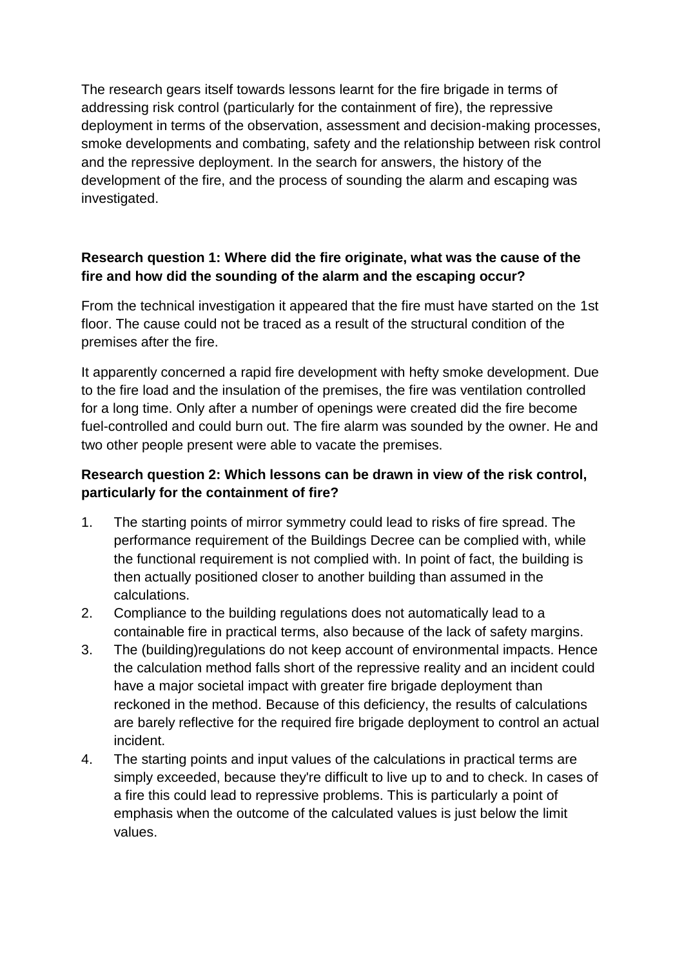The research gears itself towards lessons learnt for the fire brigade in terms of addressing risk control (particularly for the containment of fire), the repressive deployment in terms of the observation, assessment and decision-making processes, smoke developments and combating, safety and the relationship between risk control and the repressive deployment. In the search for answers, the history of the development of the fire, and the process of sounding the alarm and escaping was investigated.

#### **Research question 1: Where did the fire originate, what was the cause of the fire and how did the sounding of the alarm and the escaping occur?**

From the technical investigation it appeared that the fire must have started on the 1st floor. The cause could not be traced as a result of the structural condition of the premises after the fire.

It apparently concerned a rapid fire development with hefty smoke development. Due to the fire load and the insulation of the premises, the fire was ventilation controlled for a long time. Only after a number of openings were created did the fire become fuel-controlled and could burn out. The fire alarm was sounded by the owner. He and two other people present were able to vacate the premises.

#### **Research question 2: Which lessons can be drawn in view of the risk control, particularly for the containment of fire?**

- 1. The starting points of mirror symmetry could lead to risks of fire spread. The performance requirement of the Buildings Decree can be complied with, while the functional requirement is not complied with. In point of fact, the building is then actually positioned closer to another building than assumed in the calculations.
- 2. Compliance to the building regulations does not automatically lead to a containable fire in practical terms, also because of the lack of safety margins.
- 3. The (building)regulations do not keep account of environmental impacts. Hence the calculation method falls short of the repressive reality and an incident could have a major societal impact with greater fire brigade deployment than reckoned in the method. Because of this deficiency, the results of calculations are barely reflective for the required fire brigade deployment to control an actual incident.
- 4. The starting points and input values of the calculations in practical terms are simply exceeded, because they're difficult to live up to and to check. In cases of a fire this could lead to repressive problems. This is particularly a point of emphasis when the outcome of the calculated values is just below the limit values.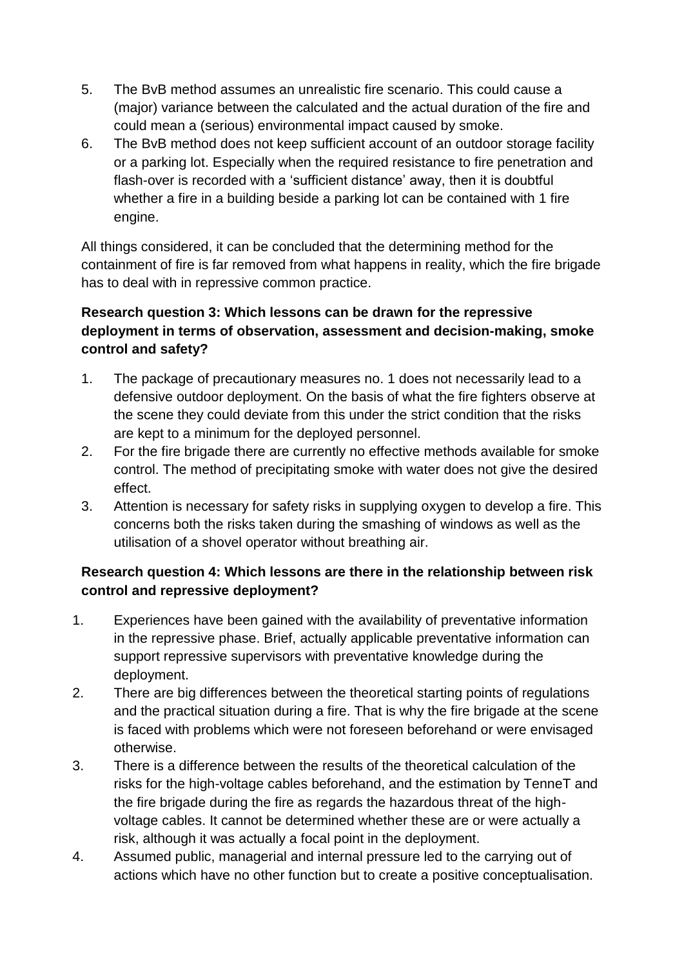- 5. The BvB method assumes an unrealistic fire scenario. This could cause a (major) variance between the calculated and the actual duration of the fire and could mean a (serious) environmental impact caused by smoke.
- 6. The BvB method does not keep sufficient account of an outdoor storage facility or a parking lot. Especially when the required resistance to fire penetration and flash-over is recorded with a 'sufficient distance' away, then it is doubtful whether a fire in a building beside a parking lot can be contained with 1 fire engine.

All things considered, it can be concluded that the determining method for the containment of fire is far removed from what happens in reality, which the fire brigade has to deal with in repressive common practice.

## **Research question 3: Which lessons can be drawn for the repressive deployment in terms of observation, assessment and decision-making, smoke control and safety?**

- 1. The package of precautionary measures no. 1 does not necessarily lead to a defensive outdoor deployment. On the basis of what the fire fighters observe at the scene they could deviate from this under the strict condition that the risks are kept to a minimum for the deployed personnel.
- 2. For the fire brigade there are currently no effective methods available for smoke control. The method of precipitating smoke with water does not give the desired effect.
- 3. Attention is necessary for safety risks in supplying oxygen to develop a fire. This concerns both the risks taken during the smashing of windows as well as the utilisation of a shovel operator without breathing air.

## **Research question 4: Which lessons are there in the relationship between risk control and repressive deployment?**

- 1. Experiences have been gained with the availability of preventative information in the repressive phase. Brief, actually applicable preventative information can support repressive supervisors with preventative knowledge during the deployment.
- 2. There are big differences between the theoretical starting points of regulations and the practical situation during a fire. That is why the fire brigade at the scene is faced with problems which were not foreseen beforehand or were envisaged otherwise.
- 3. There is a difference between the results of the theoretical calculation of the risks for the high-voltage cables beforehand, and the estimation by TenneT and the fire brigade during the fire as regards the hazardous threat of the highvoltage cables. It cannot be determined whether these are or were actually a risk, although it was actually a focal point in the deployment.
- 4. Assumed public, managerial and internal pressure led to the carrying out of actions which have no other function but to create a positive conceptualisation.